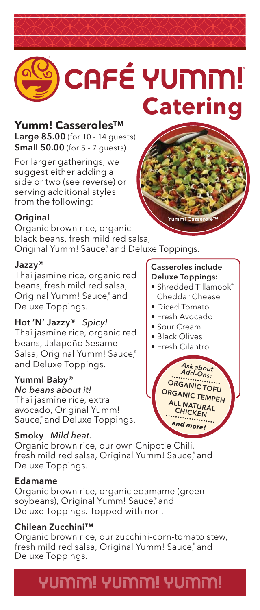# CAFÉ YUMM! **Catering**

### **Yumm! Casseroles™**

Large 85.00 (for 10 - 14 guests) **Small 50.00** (for 5 - 7 quests)

For larger gatherings, we suggest either adding a side or two (see reverse) or serving additional styles from the following:

### **Original**

Organic brown rice, organic black beans, fresh mild red salsa, Original Yumm! Sauce, ® and Deluxe Toppings.

### Jazzy®

Thai jasmine rice, organic red beans, fresh mild red salsa, Original Yumm! Sauce,<sup>®</sup> and Deluxe Toppings.

### Hot 'N' Jazzy® *Spicy!*

Thai jasmine rice, organic red beans, Jalapeño Sesame Salsa, Original Yumm! Sauce, ® and Deluxe Toppings.

### Yumm! Baby®

*No beans about it!* Thai jasmine rice, extra avocado, Original Yumm! Sauce, ® and Deluxe Toppings.

### Smoky *Mild heat.*

Organic brown rice, our own Chipotle Chili, fresh mild red salsa, Original Yumm! Sauce, ® and Deluxe Toppings.

#### Edamame

Organic brown rice, organic edamame (green soybeans), Original Yumm! Sauce, and Deluxe Toppings. Topped with nori.

### Chilean Zucchini™

Organic brown rice, our zucchini-corn-tomato stew, fresh mild red salsa, Original Yumm! Sauce, ® and Deluxe Toppings.

# יתמוטץ יהמוטץ יהמוטץ!

#### Casseroles include Deluxe Toppings:

• Shredded Tillamook® Cheddar Cheese

Yumm! Casserole™

- Diced Tomato
- Fresh Avocado
- Sour Cream
- Black Olives
- Fresh Cilantro